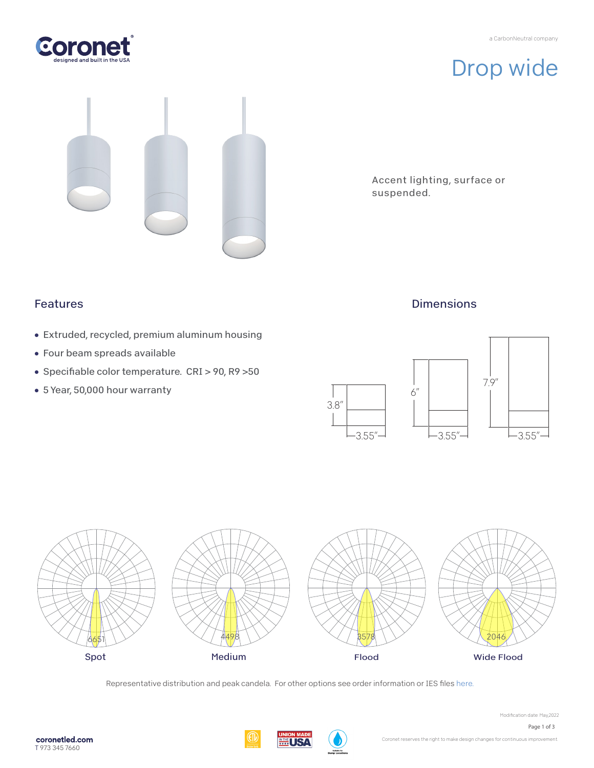a CarbonNeutral company



Drop wide



Accent lighting, surface or suspended.

### Features

- Extruded, recycled, premium aluminum housing
- Four beam spreads available
- Specifiable color temperature. CRI > 90, R9 >50
- 5 Year, 50,000 hour warranty

## **Dimensions**





Representative distribution and peak candela. For other options see order information or IES file[s here.](https://coronetled.com/downloads/)

**WINE USA** 



Page 1 of 3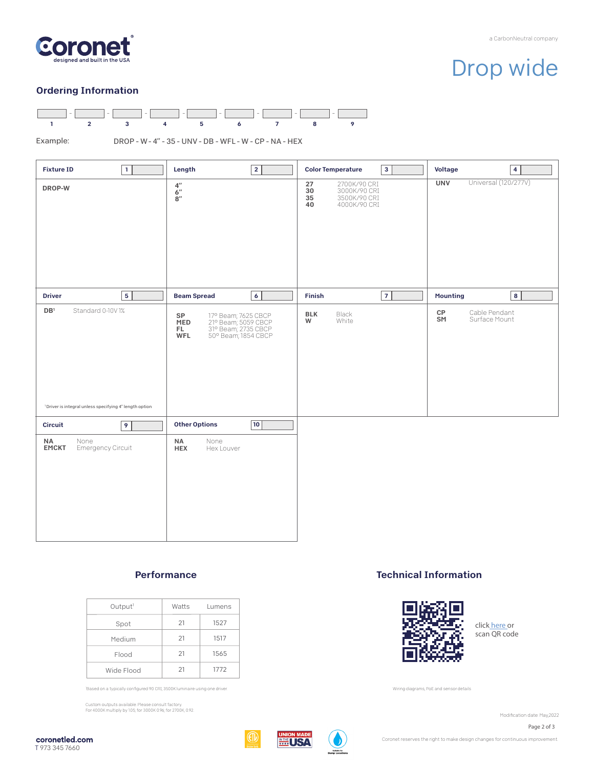

# Drop wide

#### Ordering Information



Example:

DROP - W - 4" - 35 - UNV - DB - WFL - W - CP - NA - HEX

| $\mathbf{1}$<br><b>Fixture ID</b>                                                                         | $\overline{2}$<br>Length                                                                                            | $\overline{\mathbf{3}}$<br><b>Color Temperature</b>                                  | <b>Voltage</b><br>4                        |
|-----------------------------------------------------------------------------------------------------------|---------------------------------------------------------------------------------------------------------------------|--------------------------------------------------------------------------------------|--------------------------------------------|
| DROP-W                                                                                                    | $\frac{4^{\prime\prime}}{6^{\prime\prime}}$<br>$8^{\prime\prime}$                                                   | 27<br>2700K/90 CRI<br>30<br>3000K/90 CRI<br>3500K/90 CRI<br>35<br>4000K/90 CRI<br>40 | Universal (120/277V)<br><b>UNV</b>         |
| $\overline{\mathbf{5}}$<br><b>Driver</b>                                                                  | $\overline{6}$<br><b>Beam Spread</b>                                                                                | 7<br>Finish                                                                          | <b>Mounting</b><br>$\bf8$                  |
| $\mathsf{DB}^1$<br>Standard 0-10V1%<br><sup>1</sup> Driver is integral unless specifying 4" length option | 17° Beam; 7625 CBCP<br>21° Beam; 5059 CBCP<br>31° Beam; 2735 CBCP<br>50° Beam; 1854 CBCP<br>SP<br>MED<br>FL.<br>WFL | <b>BLK</b><br>Black<br>W<br>White                                                    | Cable Pendant<br>CP<br>SM<br>Surface Mount |
| $\overline{9}$<br>Circuit                                                                                 | 10 <br><b>Other Options</b>                                                                                         |                                                                                      |                                            |
| NA<br>None<br>Emergency Circuit<br><b>EMCKT</b>                                                           | None<br><b>NA</b><br><b>HEX</b><br>Hex Louver                                                                       |                                                                                      |                                            |

#### Performance

| Output <sup>1</sup> | Watts | Lumens |
|---------------------|-------|--------|
| Spot                | 21    | 1527   |
| Medium              | 21    | 1517   |
| Flood               | 21    | 1565   |
| Wide Flood          | 21    | 1772   |

Based on a typically configured 90 CRI, 3500K luminaire using one driver.

Custom outputs available. Please consult factory. For 4000K multiply by 1.05; for 3000K 0.96; for 2700K, 0.92.

#### Technical Information



click [here o](https://coronetled.com/warranty-technical-info/)r scan QR code

Wiring diagrams, PoE and sensor details

Modification date: May, 2022